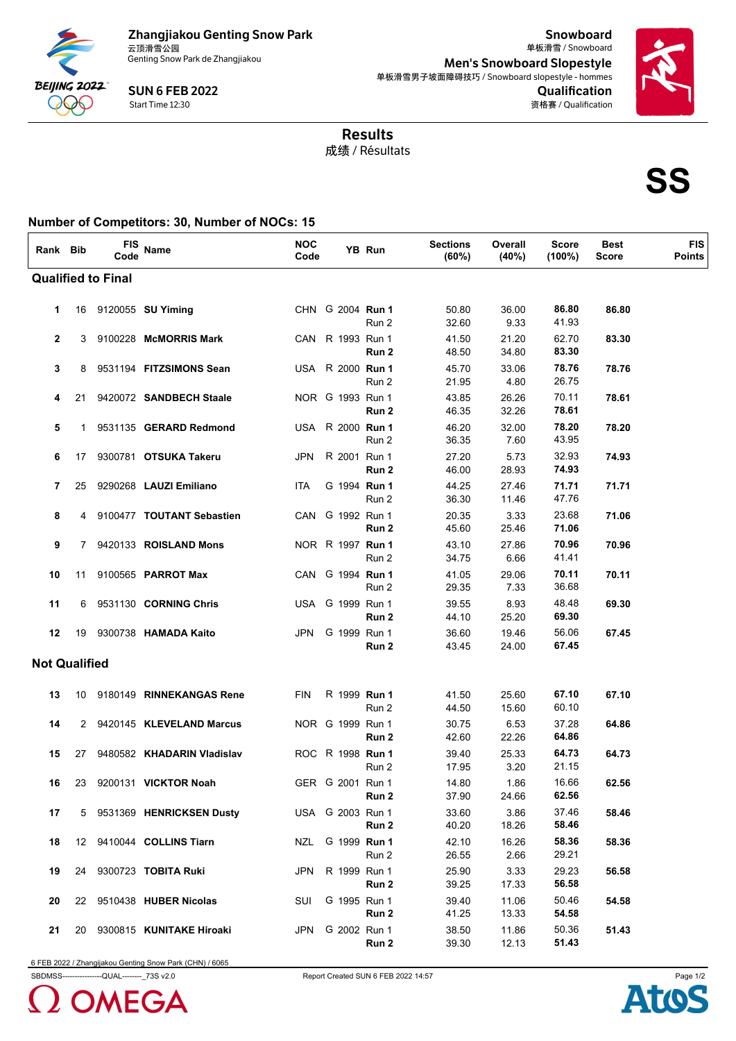

SUN 6 FEB 2022 Start Time 12:30

Snowboard Men's Snowboard Slopestyle Qualification 单板滑雪 / Snowboard 单板滑雪男子坡面障碍技巧 / Snowboard slopestyle - hommes 资格赛 / Qualification



成绩 / Résultats Results

**SS**

## **Number of Competitors: 30, Number of NOCs: 15**  $\overline{1}$

| Rank Bib             |    | <b>FIS</b><br>Code        | Name                        | <b>NOC</b><br>Code |                  | YB Run | <b>Sections</b><br>(60%) | Overall<br>(40%) | <b>Score</b><br>$(100\%)$ | <b>Best</b><br><b>Score</b> | <b>FIS</b><br><b>Points</b> |
|----------------------|----|---------------------------|-----------------------------|--------------------|------------------|--------|--------------------------|------------------|---------------------------|-----------------------------|-----------------------------|
|                      |    | <b>Qualified to Final</b> |                             |                    |                  |        |                          |                  |                           |                             |                             |
| 1                    | 16 |                           | 9120055 <b>SU Yiming</b>    |                    | CHN G 2004 Run 1 | Run 2  | 50.80<br>32.60           | 36.00<br>9.33    | 86.80<br>41.93            | 86.80                       |                             |
| $\mathbf{2}$         | 3  |                           | 9100228 McMORRIS Mark       |                    | CAN R 1993 Run 1 | Run 2  | 41.50<br>48.50           | 21.20<br>34.80   | 62.70<br>83.30            | 83.30                       |                             |
| 3                    | 8  |                           | 9531194 FITZSIMONS Sean     |                    | USA R 2000 Run 1 | Run 2  | 45.70<br>21.95           | 33.06<br>4.80    | 78.76<br>26.75            | 78.76                       |                             |
| 4                    | 21 |                           | 9420072 SANDBECH Staale     |                    | NOR G 1993 Run 1 | Run 2  | 43.85<br>46.35           | 26.26<br>32.26   | 70.11<br>78.61            | 78.61                       |                             |
| 5                    | 1  |                           | 9531135 GERARD Redmond      |                    | USA R 2000 Run 1 | Run 2  | 46.20<br>36.35           | 32.00<br>7.60    | 78.20<br>43.95            | 78.20                       |                             |
| 6                    | 17 |                           | 9300781 OTSUKA Takeru       | JPN                | R 2001 Run 1     | Run 2  | 27.20<br>46.00           | 5.73<br>28.93    | 32.93<br>74.93            | 74.93                       |                             |
| $\overline{7}$       | 25 |                           | 9290268 LAUZI Emiliano      | ITA                | G 1994 Run 1     | Run 2  | 44.25<br>36.30           | 27.46<br>11.46   | 71.71<br>47.76            | 71.71                       |                             |
| 8                    | 4  |                           | 9100477 TOUTANT Sebastien   | CAN                | G 1992 Run 1     | Run 2  | 20.35<br>45.60           | 3.33<br>25.46    | 23.68<br>71.06            | 71.06                       |                             |
| 9                    | 7  |                           | 9420133 ROISLAND Mons       |                    | NOR R 1997 Run 1 | Run 2  | 43.10<br>34.75           | 27.86<br>6.66    | 70.96<br>41.41            | 70.96                       |                             |
| 10                   | 11 |                           | 9100565 PARROT Max          |                    | CAN G 1994 Run 1 | Run 2  | 41.05<br>29.35           | 29.06<br>7.33    | 70.11<br>36.68            | 70.11                       |                             |
| 11                   | 6  |                           | 9531130 CORNING Chris       |                    | USA G 1999 Run 1 | Run 2  | 39.55<br>44.10           | 8.93<br>25.20    | 48.48<br>69.30            | 69.30                       |                             |
| 12                   | 19 |                           | 9300738 HAMADA Kaito        | JPN.               | G 1999 Run 1     | Run 2  | 36.60<br>43.45           | 19.46<br>24.00   | 56.06<br>67.45            | 67.45                       |                             |
| <b>Not Qualified</b> |    |                           |                             |                    |                  |        |                          |                  |                           |                             |                             |
| 13                   | 10 |                           | 9180149 RINNEKANGAS Rene    | <b>FIN</b>         | R 1999 Run 1     | Run 2  | 41.50<br>44.50           | 25.60<br>15.60   | 67.10<br>60.10            | 67.10                       |                             |
| 14                   |    |                           | 2 9420145 KLEVELAND Marcus  |                    | NOR G 1999 Run 1 | Run 2  | 30.75<br>42.60           | 6.53<br>22.26    | 37.28<br>64.86            | 64.86                       |                             |
| 15                   | 27 |                           | 9480582 KHADARIN Vladislav  |                    | ROC R 1998 Run 1 | Run 2  | 39.40<br>17.95           | 25.33<br>3.20    | 64.73<br>21.15            | 64.73                       |                             |
| 16                   | 23 |                           | 9200131 <b>VICKTOR Noah</b> |                    | GER G 2001 Run 1 | Run 2  | 14.80<br>37.90           | 1.86<br>24.66    | 16.66<br>62.56            | 62.56                       |                             |
| 17                   |    |                           | 5 9531369 HENRICKSEN Dusty  |                    | USA G 2003 Run 1 | Run 2  | 33.60<br>40.20           | 3.86<br>18.26    | 37.46<br>58.46            | 58.46                       |                             |
| 18                   |    |                           | 12 9410044 COLLINS Tiarn    | NZL                | G 1999 Run 1     | Run 2  | 42.10<br>26.55           | 16.26<br>2.66    | 58.36<br>29.21            | 58.36                       |                             |
| 19                   |    |                           | 24 9300723 TOBITA Ruki      | <b>JPN</b>         | R 1999 Run 1     | Run 2  | 25.90<br>39.25           | 3.33<br>17.33    | 29.23<br>56.58            | 56.58                       |                             |
| 20                   |    |                           | 22 9510438 HUBER Nicolas    | SUI                | G 1995 Run 1     | Run 2  | 39.40<br>41.25           | 11.06<br>13.33   | 50.46<br>54.58            | 54.58                       |                             |
| 21                   |    |                           | 20 9300815 KUNITAKE Hiroaki | JPN                | G 2002 Run 1     | Run 2  | 38.50<br>39.30           | 11.86<br>12.13   | 50.36<br>51.43            | 51.43                       |                             |

6 FEB 2022 / Zhangijakou Genting Snow Park (CHN) / 6065